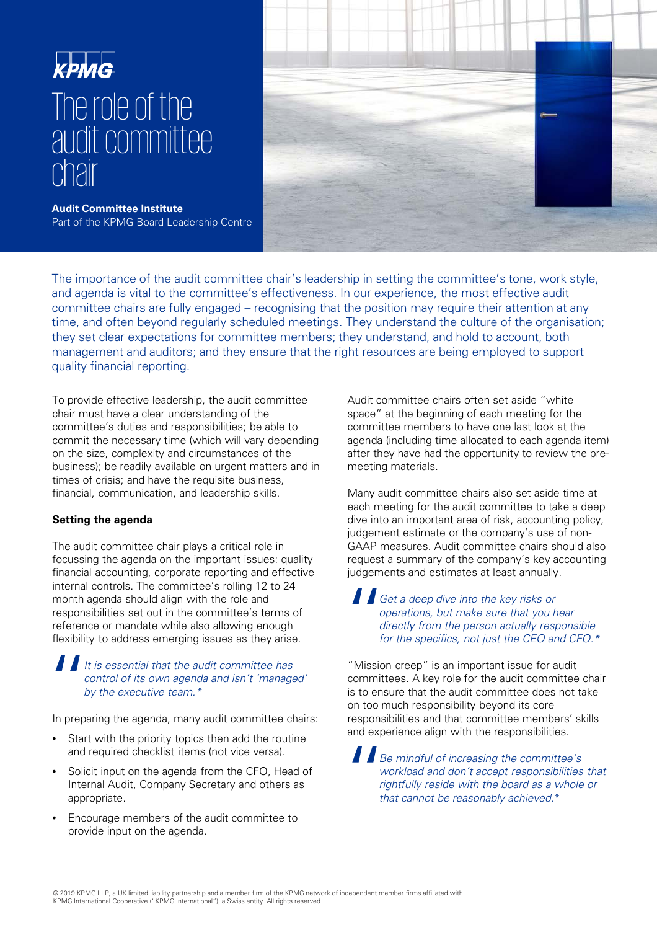



**Audit Committee Institute**  Part of the KPMG Board Leadership Centre

The importance of the audit committee chair's leadership in setting the committee's tone, work style, and agenda is vital to the committee's effectiveness. In our experience, the most effective audit committee chairs are fully engaged – recognising that the position may require their attention at any time, and often beyond regularly scheduled meetings. They understand the culture of the organisation; they set clear expectations for committee members; they understand, and hold to account, both management and auditors; and they ensure that the right resources are being employed to support quality financial reporting.

To provide effective leadership, the audit committee chair must have a clear understanding of the committee's duties and responsibilities; be able to commit the necessary time (which will vary depending on the size, complexity and circumstances of the business); be readily available on urgent matters and in times of crisis; and have the requisite business, financial, communication, and leadership skills.

#### **Setting the agenda**

The audit committee chair plays a critical role in focussing the agenda on the important issues: quality financial accounting, corporate reporting and effective internal controls. The committee's rolling 12 to 24 month agenda should align with the role and responsibilities set out in the committee's terms of reference or mandate while also allowing enough flexibility to address emerging issues as they arise.

## It is essential that the audit committee has<br>
control of its own agenda and isn't 'managed'<br>
by the executive team.\*<br>
In preparing the agenda, many audit committee chairs:  $\blacksquare$  It is essential that the audit committee has control of its own agenda and isn't 'managed' by the executive team.\*

- Start with the priority topics then add the routine and required checklist items (not vice versa).
- Solicit input on the agenda from the CFO, Head of Internal Audit, Company Secretary and others as appropriate.
- Encourage members of the audit committee to provide input on the agenda.

Audit committee chairs often set aside "white space" at the beginning of each meeting for the committee members to have one last look at the agenda (including time allocated to each agenda item) after they have had the opportunity to review the premeeting materials.

Many audit committee chairs also set aside time at each meeting for the audit committee to take a deep dive into an important area of risk, accounting policy, judgement estimate or the company's use of non-GAAP measures. Audit committee chairs should also request a summary of the company's key accounting judgements and estimates at least annually.

### " Get a deep dive into the key risks or operations, but make sure that you hear directly from the person actually responsible for the specifics, not just the CEO and CFO.\*

"Mission creep" is an important issue for audit committees. A key role for the audit committee chair is to ensure that the audit committee does not take on too much responsibility beyond its core responsibilities and that committee members' skills and experience align with the responsibilities.

 $\begin{array}{c}\n\blacksquare_{B} \\
\blacksquare_{N} \\
\blacksquare_{N} \\
\blacksquare_{N} \\
\blacksquare_{N} \\
\blacksquare_{N} \\
\blacksquare_{N}\n\end{array}$ Be mindful of increasing the committee's workload and don't accept responsibilities that rightfully reside with the board as a whole or that cannot be reasonably achieved.\*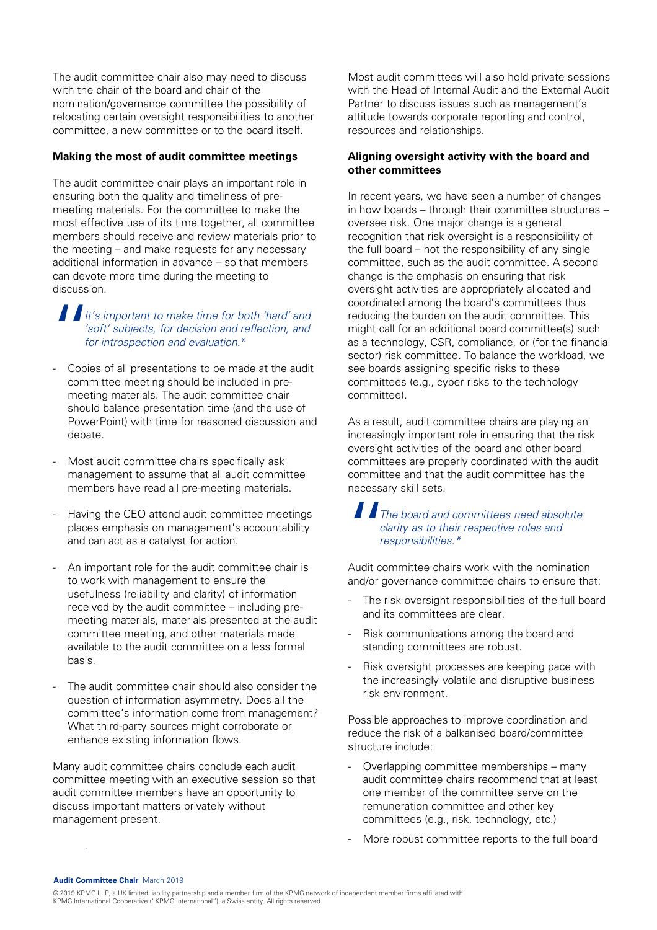The audit committee chair also may need to discuss with the chair of the board and chair of the nomination/governance committee the possibility of relocating certain oversight responsibilities to another committee, a new committee or to the board itself.

#### **Making the most of audit committee meetings**

The audit committee chair plays an important role in ensuring both the quality and timeliness of premeeting materials. For the committee to make the most effective use of its time together, all committee members should receive and review materials prior to the meeting – and make requests for any necessary additional information in advance – so that members can devote more time during the meeting to discussion.

 $\begin{array}{c}\n\begin{array}{ccc}\n\end{array}\n\end{array}\n\begin{array}{c}\n\end{array}\n\begin{array}{ccc}\n\end{array}\n\end{array}\n\begin{array}{c}\n\end{array}\n\begin{array}{ccc}\n\end{array}\n\end{array}\n\begin{array}{ccc}\n\end{array}\n\begin{array}{ccc}\n\end{array}\n\end{array}\n\begin{array}{ccc}\n\end{array}\n\begin{array}{ccc}\n\end{array}\n\end{array}\n\begin{array}{ccc}\n\end{array}\n\begin{array}{ccc}\n\end{array}\n\end{array}\n\begin{array}{ccc}\n\end{array}\n\end{array}$ It's important to make time for both 'hard' and 'soft' subjects, for decision and reflection, and for introspection and evaluation.\*

- Copies of all presentations to be made at the audit committee meeting should be included in premeeting materials. The audit committee chair should balance presentation time (and the use of PowerPoint) with time for reasoned discussion and debate.
- Most audit committee chairs specifically ask management to assume that all audit committee members have read all pre-meeting materials.
- Having the CEO attend audit committee meetings places emphasis on management's accountability and can act as a catalyst for action.
- An important role for the audit committee chair is to work with management to ensure the usefulness (reliability and clarity) of information received by the audit committee – including premeeting materials, materials presented at the audit committee meeting, and other materials made available to the audit committee on a less formal basis.
- The audit committee chair should also consider the question of information asymmetry. Does all the committee's information come from management? What third-party sources might corroborate or enhance existing information flows.

Many audit committee chairs conclude each audit committee meeting with an executive session so that audit committee members have an opportunity to discuss important matters privately without management present.

Most audit committees will also hold private sessions with the Head of Internal Audit and the External Audit Partner to discuss issues such as management's attitude towards corporate reporting and control, resources and relationships.

#### **Aligning oversight activity with the board and other committees**

In recent years, we have seen a number of changes in how boards – through their committee structures – oversee risk. One major change is a general recognition that risk oversight is a responsibility of the full board – not the responsibility of any single committee, such as the audit committee. A second change is the emphasis on ensuring that risk oversight activities are appropriately allocated and coordinated among the board's committees thus reducing the burden on the audit committee. This might call for an additional board committee(s) such as a technology, CSR, compliance, or (for the financial sector) risk committee. To balance the workload, we see boards assigning specific risks to these committees (e.g., cyber risks to the technology committee).

As a result, audit committee chairs are playing an increasingly important role in ensuring that the risk oversight activities of the board and other board committees are properly coordinated with the audit committee and that the audit committee has the necessary skill sets.

## $\prod_{\substack{c|d \text{ odd} \\ r \text{ odd}}}$ The board and committees need absolute clarity as to their respective roles and responsibilities.\*

Audit committee chairs work with the nomination and/or governance committee chairs to ensure that:

- The risk oversight responsibilities of the full board and its committees are clear.
- Risk communications among the board and standing committees are robust.
- Risk oversight processes are keeping pace with the increasingly volatile and disruptive business risk environment.

Possible approaches to improve coordination and reduce the risk of a balkanised board/committee structure include:

- Overlapping committee memberships many audit committee chairs recommend that at least one member of the committee serve on the remuneration committee and other key committees (e.g., risk, technology, etc.)
- More robust committee reports to the full board

#### **Audit Committee Chair**| March 2019

.

<sup>© 2019</sup> KPMG LLP, a UK limited liability partnership and a member firm of the KPMG network of independent member firms affiliated with KPMG International Cooperative ("KPMG International"), a Swiss entity. All rights reserved.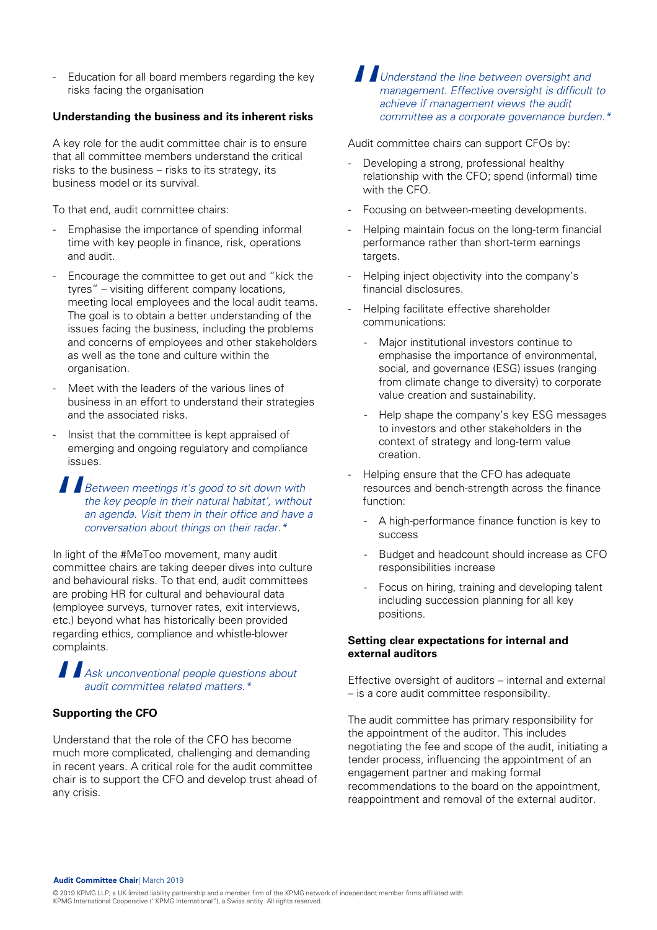Education for all board members regarding the key risks facing the organisation

#### **Understanding the business and its inherent risks**

A key role for the audit committee chair is to ensure that all committee members understand the critical risks to the business – risks to its strategy, its business model or its survival.

To that end, audit committee chairs:

- Emphasise the importance of spending informal time with key people in finance, risk, operations and audit.
- Encourage the committee to get out and "kick the tyres" – visiting different company locations, meeting local employees and the local audit teams. The goal is to obtain a better understanding of the issues facing the business, including the problems and concerns of employees and other stakeholders as well as the tone and culture within the organisation.
- Meet with the leaders of the various lines of business in an effort to understand their strategies and the associated risks.
- Insist that the committee is kept appraised of emerging and ongoing regulatory and compliance issues.

 $\begin{array}{c}\n\blacksquare_{B_6}\n\hline\n\end{array}$ Between meetings it's good to sit down with the key people in their natural habitat', without an agenda. Visit them in their office and have a conversation about things on their radar.\*

In light of the #MeToo movement, many audit committee chairs are taking deeper dives into culture and behavioural risks. To that end, audit committees are probing HR for cultural and behavioural data (employee surveys, turnover rates, exit interviews, etc.) beyond what has historically been provided regarding ethics, compliance and whistle-blower complaints.

# $\prod_{\substack{A\subseteq A\\ \text{support}}}$ Ask unconventional people questions about audit committee related matters.\*

#### **Supporting the CFO**

Understand that the role of the CFO has become much more complicated, challenging and demanding in recent years. A critical role for the audit committee chair is to support the CFO and develop trust ahead of any crisis.

" Understand the line between oversight and management. Effective oversight is difficult to achieve if management views the audit committee as a corporate governance burden.\*

Audit committee chairs can support CFOs by:

- Developing a strong, professional healthy relationship with the CFO; spend (informal) time with the CFO.
- Focusing on between-meeting developments.
- Helping maintain focus on the long-term financial performance rather than short-term earnings targets.
- Helping inject objectivity into the company's financial disclosures.
- Helping facilitate effective shareholder communications:
	- Major institutional investors continue to emphasise the importance of environmental, social, and governance (ESG) issues (ranging from climate change to diversity) to corporate value creation and sustainability.
	- Help shape the company's key ESG messages to investors and other stakeholders in the context of strategy and long-term value creation.
- Helping ensure that the CFO has adequate resources and bench-strength across the finance function:
	- A high-performance finance function is key to success
	- Budget and headcount should increase as CFO responsibilities increase
	- Focus on hiring, training and developing talent including succession planning for all key positions.

#### **Setting clear expectations for internal and external auditors**

Effective oversight of auditors – internal and external – is a core audit committee responsibility.

The audit committee has primary responsibility for the appointment of the auditor. This includes negotiating the fee and scope of the audit, initiating a tender process, influencing the appointment of an engagement partner and making formal recommendations to the board on the appointment, reappointment and removal of the external auditor.

<sup>© 2019</sup> KPMG LLP, a UK limited liability partnership and a member firm of the KPMG network of independent member firms affiliated with KPMG International Cooperative ("KPMG International"), a Swiss entity. All rights reserved.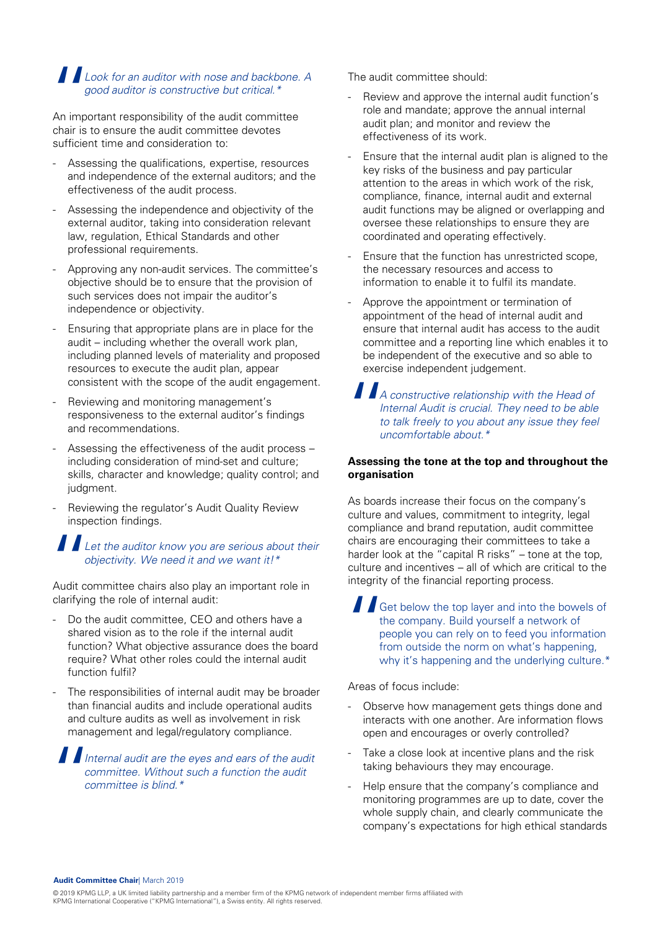### Look for an auditor with nose and backbone. A good auditor is constructive but critical.\*

" An important responsibility of the audit committee chair is to ensure the audit committee devotes sufficient time and consideration to:

- Assessing the qualifications, expertise, resources and independence of the external auditors; and the effectiveness of the audit process.
- Assessing the independence and objectivity of the external auditor, taking into consideration relevant law, regulation, Ethical Standards and other professional requirements.
- Approving any non-audit services. The committee's objective should be to ensure that the provision of such services does not impair the auditor's independence or objectivity.
- Ensuring that appropriate plans are in place for the audit – including whether the overall work plan, including planned levels of materiality and proposed resources to execute the audit plan, appear consistent with the scope of the audit engagement.
- Reviewing and monitoring management's responsiveness to the external auditor's findings and recommendations.
- Assessing the effectiveness of the audit process including consideration of mind-set and culture; skills, character and knowledge; quality control; and judgment.
- Reviewing the regulator's Audit Quality Review inspection findings.

# ALL Let the auditor know you are serious about their objectivity. We need it and we want it!\*

Audit committee chairs also play an important role in clarifying the role of internal audit:

- Do the audit committee, CEO and others have a shared vision as to the role if the internal audit function? What objective assurance does the board require? What other roles could the internal audit function fulfil?
- The responsibilities of internal audit may be broader than financial audits and include operational audits and culture audits as well as involvement in risk management and legal/regulatory compliance.

 $\frac{1}{\frac{1}{c}}$ Internal audit are the eyes and ears of the audit committee. Without such a function the audit committee is blind.\*

The audit committee should:

- Review and approve the internal audit function's role and mandate; approve the annual internal audit plan; and monitor and review the effectiveness of its work.
- Ensure that the internal audit plan is aligned to the key risks of the business and pay particular attention to the areas in which work of the risk, compliance, finance, internal audit and external audit functions may be aligned or overlapping and oversee these relationships to ensure they are coordinated and operating effectively.
- Ensure that the function has unrestricted scope, the necessary resources and access to information to enable it to fulfil its mandate.
- Approve the appointment or termination of appointment of the head of internal audit and ensure that internal audit has access to the audit committee and a reporting line which enables it to be independent of the executive and so able to exercise independent judgement.

 $\begin{array}{c}\n\blacksquare_{A}\\
\blacksquare_{m}\\
\hline\n\end{array}$ A constructive relationship with the Head of Internal Audit is crucial. They need to be able to talk freely to you about any issue they feel uncomfortable about.\*

#### **Assessing the tone at the top and throughout the organisation**

As boards increase their focus on the company's culture and values, commitment to integrity, legal compliance and brand reputation, audit committee chairs are encouraging their committees to take a harder look at the "capital R risks" – tone at the top, culture and incentives – all of which are critical to the integrity of the financial reporting process.

 $\begin{array}{c}\n\blacksquare\text{G} \\
\blacksquare\text{th} \\
\blacksquare\text{pe} \\
\blacksquare\text{fr} \\
\blacksquare\text{fr} \\
\blacksquare\end{array}$ Get below the top layer and into the bowels of the company. Build yourself a network of people you can rely on to feed you information from outside the norm on what's happening, why it's happening and the underlying culture.\*

Areas of focus include:

- Observe how management gets things done and interacts with one another. Are information flows open and encourages or overly controlled?
- Take a close look at incentive plans and the risk taking behaviours they may encourage.
- Help ensure that the company's compliance and monitoring programmes are up to date, cover the whole supply chain, and clearly communicate the company's expectations for high ethical standards

<sup>© 2019</sup> KPMG LLP, a UK limited liability partnership and a member firm of the KPMG network of independent member firms affiliated with KPMG International Cooperative ("KPMG International"), a Swiss entity. All rights reserved.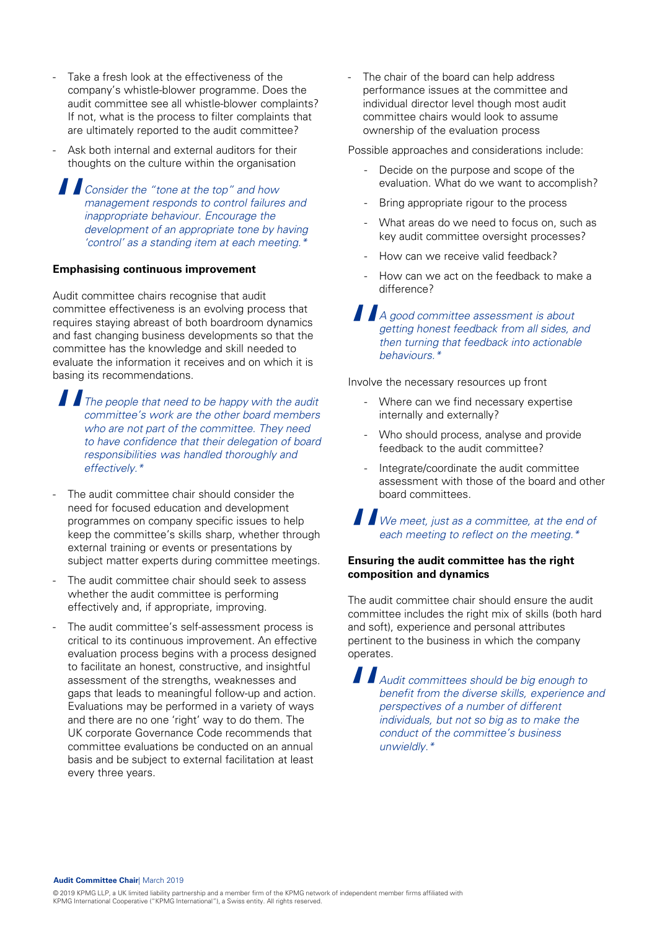- Take a fresh look at the effectiveness of the company's whistle-blower programme. Does the audit committee see all whistle-blower complaints? If not, what is the process to filter complaints that are ultimately reported to the audit committee?
- Ask both internal and external auditors for their thoughts on the culture within the organisation

 $\begin{array}{c} \n\begin{array}{ccc}\n\hline\n\end{array} \\
\hline\n\end{array}\n\end{array}\n\quad\n\begin{array}{c}\n\hline\n\end{array}\n\quad\n\begin{array}{c}\n\hline\n\end{array}\n\quad\n\begin{array}{c}\n\hline\n\end{array}\n\quad\n\begin{array}{c}\n\hline\n\end{array}\n\quad\n\begin{array}{c}\n\hline\n\end{array}\n\quad\n\begin{array}{c}\n\hline\n\end{array}\n\quad\n\begin{array}{c}\n\hline\n\end{array}\n\quad\n\begin{array}{c}\n\hline\n\end{array}\n\quad\n\begin{array}{c$ Consider the "tone at the top" and how management responds to control failures and inappropriate behaviour. Encourage the development of an appropriate tone by having 'control' as a standing item at each meeting.<sup>\*</sup>

#### **Emphasising continuous improvement**

Audit committee chairs recognise that audit committee effectiveness is an evolving process that requires staying abreast of both boardroom dynamics and fast changing business developments so that the committee has the knowledge and skill needed to evaluate the information it receives and on which it is basing its recommendations.

 $\begin{array}{c} \n\begin{array}{ccc}\n\end{array}\n\end{array}\n\begin{array}{c}\n\end{array}\n\begin{array}{c}\n\end{array}\n\end{array}\n\begin{array}{c}\n\end{array}\n\end{array}\n\begin{array}{c}\n\end{array}\n\begin{array}{c}\n\end{array}\n\end{array}\n\end{array}\n\begin{array}{c}\n\end{array}\n\begin{array}{c}\n\end{array}\n\begin{array}{c}\n\end{array}\n\end{array}\n\begin{array}{c}\n\end{array}\n\end{array}$ The people that need to be happy with the audit committee's work are the other board members who are not part of the committee. They need to have confidence that their delegation of board responsibilities was handled thoroughly and effectively.\*

- The audit committee chair should consider the need for focused education and development programmes on company specific issues to help keep the committee's skills sharp, whether through external training or events or presentations by subject matter experts during committee meetings.
- The audit committee chair should seek to assess whether the audit committee is performing effectively and, if appropriate, improving.
- The audit committee's self-assessment process is critical to its continuous improvement. An effective evaluation process begins with a process designed to facilitate an honest, constructive, and insightful assessment of the strengths, weaknesses and gaps that leads to meaningful follow-up and action. Evaluations may be performed in a variety of ways and there are no one 'right' way to do them. The UK corporate Governance Code recommends that committee evaluations be conducted on an annual basis and be subject to external facilitation at least every three years.

The chair of the board can help address performance issues at the committee and individual director level though most audit committee chairs would look to assume ownership of the evaluation process

Possible approaches and considerations include:

- Decide on the purpose and scope of the evaluation. What do we want to accomplish?
- Bring appropriate rigour to the process
- What areas do we need to focus on, such as key audit committee oversight processes?
- How can we receive valid feedback?
- How can we act on the feedback to make a difference?

 $\begin{array}{c} \n\begin{array}{ccc}\nA \\
A \\
g_t \\
h_t \\
h_t\n\end{array}\n\end{array}$ A good committee assessment is about getting honest feedback from all sides, and then turning that feedback into actionable behaviours.\*

Involve the necessary resources up front

- Where can we find necessary expertise internally and externally?
- Who should process, analyse and provide feedback to the audit committee?
- Integrate/coordinate the audit committee assessment with those of the board and other board committees.

 $\prod_{\substack{\text{even} \\ \text{fensurin} \\ \text{compress}}}$ We meet, just as a committee, at the end of each meeting to reflect on the meeting.\*

#### **Ensuring the audit committee has the right composition and dynamics**

The audit committee chair should ensure the audit committee includes the right mix of skills (both hard and soft), experience and personal attributes pertinent to the business in which the company operates.

 $\begin{array}{c} \n\blacksquare_{A} \\
b \noalign{\vspace{0.2cm}}_{\rho\alpha} \\
\delta\nu\end{array}$ Audit committees should be big enough to benefit from the diverse skills, experience and perspectives of a number of different individuals, but not so big as to make the conduct of the committee's business unwieldly.\*

**Audit Committee Chair**| March 2019

© 2019 KPMG LLP, a UK limited liability partnership and a member firm of the KPMG network of independent member firms affiliated with KPMG International Cooperative ("KPMG International"), a Swiss entity. All rights reserved.